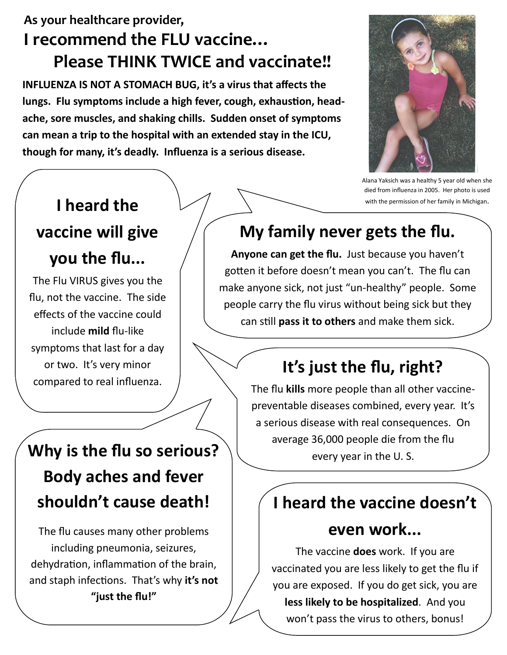#### **As your healthcare provider, I recommend the FLU vaccine… Please THINK TWICE and vaccinate!!**

**INFLUENZA IS NOT A STOMACH BUG, it's a virus that affects the lungs. Flu symptoms include a high fever, cough, exhaustion, headache, sore muscles, and shaking chills. Sudden onset of symptoms can mean a trip to the hospital with an extended stay in the ICU, though for many, it's deadly. Influenza is a serious disease.** 



Alana Yaksich was a healthy 5 year old when she died from influenza in 2005. Her photo is used with the permission of her family in Michigan.

## **I heard the**

### **vaccine will give**

### **you the flu...**

The Flu VIRUS gives you the flu, not the vaccine. The side effects of the vaccine could include **mild** flu-like symptoms that last for a day or two. It's very minor compared to real influenza.

# **My family never gets the flu.**

**Anyone can get the flu.** Just because you haven't gotten it before doesn't mean you can't. The flu can make anyone sick, not just "un-healthy" people. Some people carry the flu virus without being sick but they can still **pass it to others** and make them sick.

## **It's just the flu, right?**

The flu **kills** more people than all other vaccinepreventable diseases combined, every year. It's a serious disease with real consequences. On average 36,000 people die from the flu every year in the U. S.

### **I heard the vaccine doesn't**

#### **even work...**

The vaccine **does** work. If you are vaccinated you are less likely to get the flu if you are exposed. If you do get sick, you are **less likely to be hospitalized**. And you won't pass the virus to others, bonus!

# **Why is the flu so serious? Body aches and fever shouldn't cause death!**

The flu causes many other problems including pneumonia, seizures, dehydration, inflammation of the brain, and staph infections. That's why **it's not "just the flu!"**